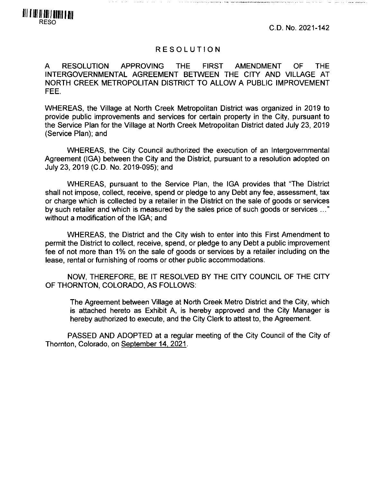C.D. No. 2021-142

## RESOLUTION

A RESOLUTION APPROVING THE FIRST AMENDMENT OF THE INTERGOVERNMENTAL AGREEMENT BETWEEN THE CITY AND VILLAGE AT NORTH CREEK METROPOLITAN DISTRICT TO ALLOW A PUBLIC IMPROVEMENT FEE.

WHEREAS, the Village at North Creek Metropolitan District was organized in 2019 to provide public improvements and services for certain property in the City, pursuant to the Service Plan for the Village at North Creek Metropolitan District dated July 23, 2019 (Service Plan); and

WHEREAS, the City Council authorized the execution of an Intergovernmental Agreement (IGA) between the City and the District, pursuant to a resolution adopted on July 23, 2019 (C.D. No. 2019-095); and

WHEREAS, pursuant to the Service Plan, the IGA provides that "The District shall not impose, collect, receive, spend or pledge to any Debt any fee, assessment, tax or charge which is collected by a retailer in the District on the sale of goods or services by such retailer and which is measured by the sales price of such goods or services ..." without a modification of the IGA; and

WHEREAS, the District and the City wish to enter into this First Amendment to permit the District to collect, receive, spend, or pledge to any Debt a public improvement fee of not more than 1% on the sale of goods or services by a retailer including on the lease, rental or furnishing of rooms or other public accommodations.

NOW, THEREFORE, BE IT RESOLVED BY THE CITY COUNCIL OF THE CITY OF THORNTON, COLORADO, AS FOLLOWS:

The Agreement between Village at North Creek Metro District and the City, which is attached hereto as Exhibit A, is hereby approved and the City Manager is hereby authorized to execute, and the City Clerk to attest to, the Agreement.

PASSED AND ADOPTED at a regular meeting of the City Council of the City of Thornton, Colorado, on September 14. 2021.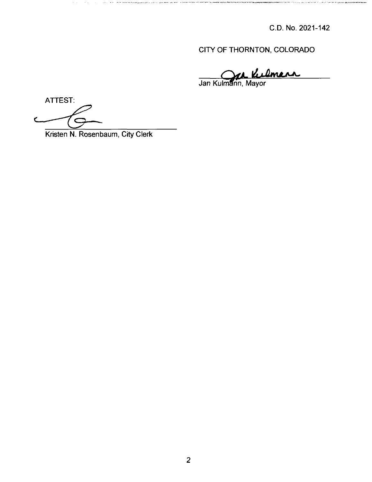C.D. No. 2021-142

CITY OF THORNTON, COLORADO

**O/iL**

Jan Kulm**a**nn, Mayor

ATTEST:

Kristen N. Rosenbaum, City Clerk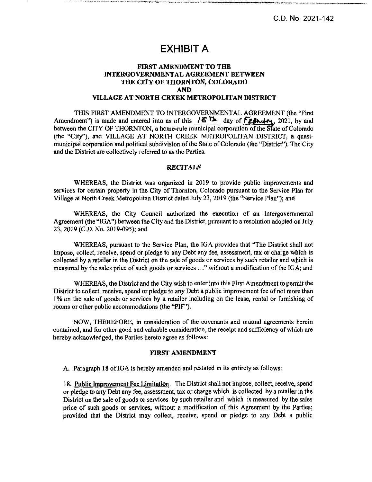C.D. No. 2021-142

# **EXHIBIT A**

## FIRST AMENDMENT TO THE INTERGOVERNMENTAL AGREEMENT BETWEEN THE CITY OF THORNTON, COLORADO AND VILLAGE AT NORTH CREEK METROPOLITAN DISTRICT

THIS FIRST AMENDMENT TO INTERGOVERNMENTAL AGREEMENT (the "First Amendment") is made and entered into as of this  $\sqrt{6}$  The day of FzBI  $\sim$  1021, by and between the CITY OF THORNTON, a home-rule municipal corporation of the State of Colorado (the "City"), and VILLAGE AT NORTH CREEK METROPOLITAN DISTRICT, a quasimunicipal corporation and political subdivision of the State of Colorado (the "District"). The City and the District are collectively referred to as the Parties.

### RECITALS

WHEREAS, the District was organized in 2019 to provide public improvements and services for certain property in the City of Thornton, Colorado pursuant to the Service Plan for Village at North Creek Metropolitan District dated July 23, 2019 (the "Service Plan"); and

WHEREAS, the City Council authorized the execution of an Intergovernmental Agreement (the "IGA") between the City and the District, pursuant to a resolution adopted on July 23, 2019 (C.D. No. 2019-095); and

WHEREAS, pursuant to the Service Plan, the IGA provides that "The District shall not impose, collect, receive, spend or pledge to any Debt any fee, assessment, tax or charge which is collected by a retailer in the District on the sale ofgoods or services by such retailer and which is measured by the sales price of such goods or services ..." without a modification of the IGA; and

WHEREAS, the District and the City wish to enter into this First Amendment to permit the District to collect, receive, spend or pledge to any Debt a public improvement fee of not more than 1% on the sale of goods or services by a retailer including on the lease, rental or furnishing of rooms or other public accommodations (the "PIF").

NOW, THEREFORE, in consideration of the covenants and mutual agreements herein contained, and for other good and valuable consideration, the receipt and sufficiency of which are hereby acknowledged, the Parties hereto agree as follows:

#### FIRST AMENDMENT

A. Paragraph 18 of IGA is hereby amended and restated in its entirety as follows:

18. Public Improvement Fee Limitation. The District shall not impose, collect, receive, spend or pledge to any Debt any fee, assessment, tax or charge which is collected by a retailer in the District on the sale of goods or services by such retailer and which is measured by the sales price of such goods or services, without a modification of this Agreement by the Parties; provided that the District may collect, receive, spend or pledge to any Debt a public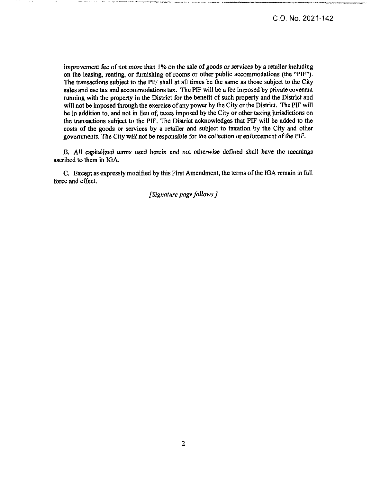improvement fee of not more than 1% on the sale of goods or services by a retailer including on the leasing, renting, or furnishing of rooms or other public accommodations (the "PIF"). The transactions subject to the PIF shall at all times be the same as those subject to the City sales and use tax and accommodations tax. The PIF will be a fee imposed by private covenant running with the property in the District for the benefit of such property and the District and will not be imposed through the exercise of any power by the City or the District. The PIF will be in addition to, and not in lieu of, taxes imposed by the City or other taxing jurisdictions on the transactions subject to the PIF. The District acknowledges that PIF will be added to the costs of the goods or services by a retailer and subject to taxation by the City and other governments. The City will not be responsible for the collection or enforcement ofthe PIF.

B. All capitalized terms used herein and not otherwise defined shall have the meanings ascribed to them in IGA.

C. Except as expressly modified by this First Amendment, the terms ofthe IGA remain in full force and effect.

*[Signature pagefollows.]*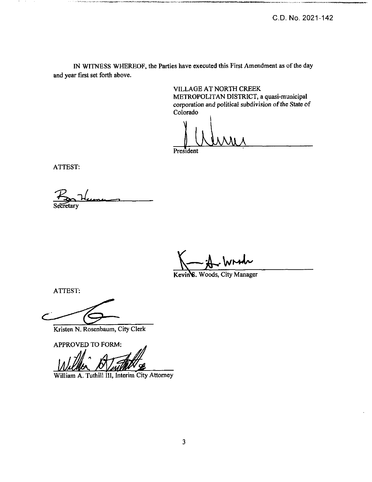IN WITNESS WHEREOF, the Parties have executed this First Amendment as of the day and year first set forth above.

> VILLAGE AT NORTH CREEK METROPOLITAN DISTRICT, a quasi-municipal corporation and political subdivision of the State of Colorado

\

President

ATTEST:

-----...

**Secretary** 

**V— W»^**

Kevin<sup>8</sup>. Woods, City Manager

ATTEST:

Kristen N. Rosenbaum, City Clerk

APPROVED TO FORM:

William A. Tuthill III, Interim City Attorney